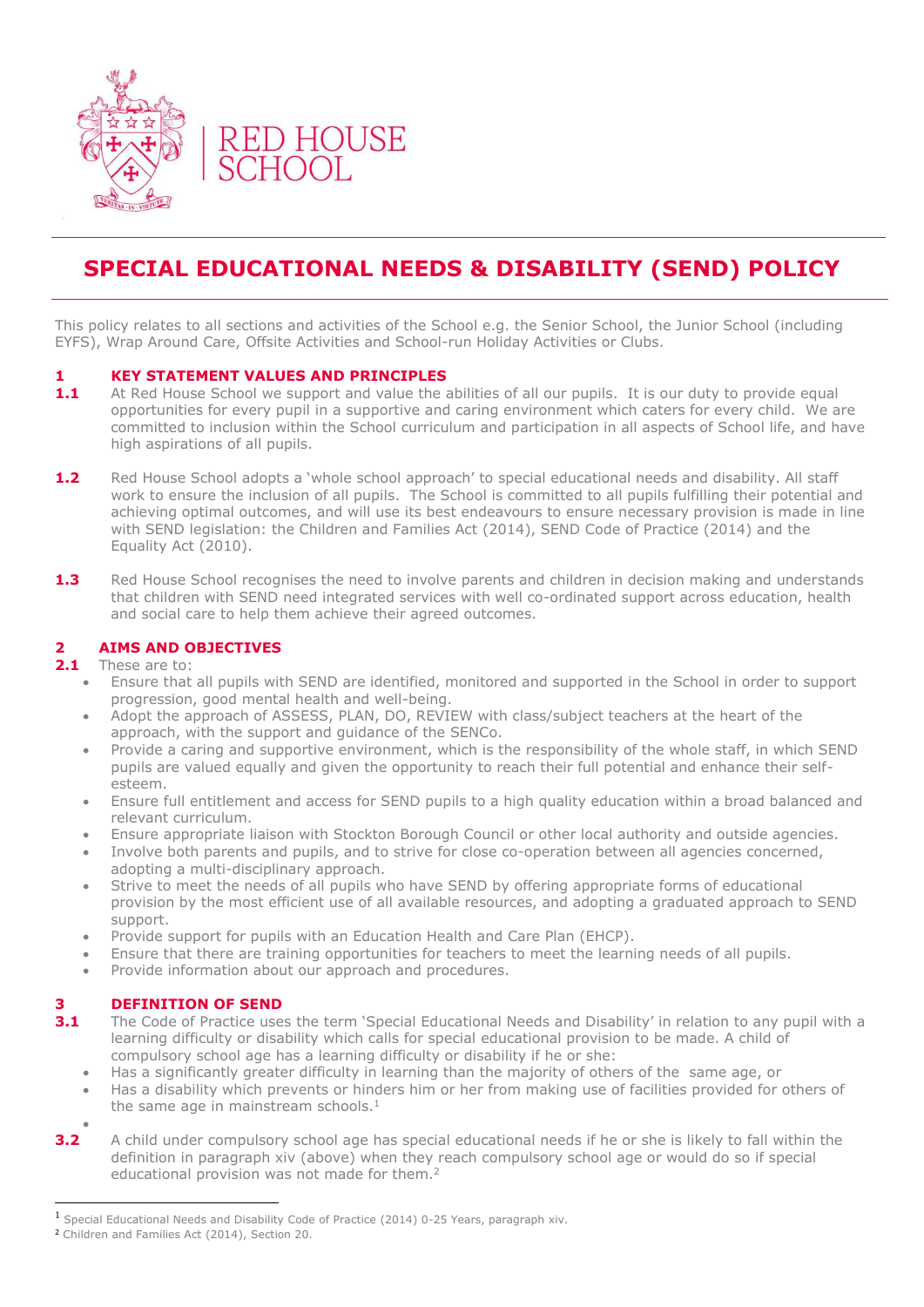

# **SPECIAL EDUCATIONAL NEEDS & DISABILITY (SEND) POLICY**

This policy relates to all sections and activities of the School e.g. the Senior School, the Junior School (including EYFS), Wrap Around Care, Offsite Activities and School-run Holiday Activities or Clubs.

## **1 KEY STATEMENT VALUES AND PRINCIPLES**

- **1.1** At Red House School we support and value the abilities of all our pupils. It is our duty to provide equal opportunities for every pupil in a supportive and caring environment which caters for every child. We are committed to inclusion within the School curriculum and participation in all aspects of School life, and have high aspirations of all pupils.
- **1.2** Red House School adopts a 'whole school approach' to special educational needs and disability. All staff work to ensure the inclusion of all pupils. The School is committed to all pupils fulfilling their potential and achieving optimal outcomes, and will use its best endeavours to ensure necessary provision is made in line with SEND legislation: the Children and Families Act (2014), SEND Code of Practice (2014) and the Equality Act (2010).
- **1.3** Red House School recognises the need to involve parents and children in decision making and understands that children with SEND need integrated services with well co-ordinated support across education, health and social care to help them achieve their agreed outcomes.

## **2 AIMS AND OBJECTIVES**

**2.1** These are to:

- Ensure that all pupils with SEND are identified, monitored and supported in the School in order to support progression, good mental health and well-being.
- Adopt the approach of ASSESS, PLAN, DO, REVIEW with class/subject teachers at the heart of the approach, with the support and guidance of the SENCo.
- Provide a caring and supportive environment, which is the responsibility of the whole staff, in which SEND pupils are valued equally and given the opportunity to reach their full potential and enhance their selfesteem.
- Ensure full entitlement and access for SEND pupils to a high quality education within a broad balanced and relevant curriculum.
- Ensure appropriate liaison with Stockton Borough Council or other local authority and outside agencies.
- Involve both parents and pupils, and to strive for close co-operation between all agencies concerned, adopting a multi-disciplinary approach.
- Strive to meet the needs of all pupils who have SEND by offering appropriate forms of educational provision by the most efficient use of all available resources, and adopting a graduated approach to SEND support.
- Provide support for pupils with an Education Health and Care Plan (EHCP).
- Ensure that there are training opportunities for teachers to meet the learning needs of all pupils.
- Provide information about our approach and procedures.

# **3 DEFINITION OF SEND**

- **3.1** The Code of Practice uses the term 'Special Educational Needs and Disability' in relation to any pupil with a learning difficulty or disability which calls for special educational provision to be made. A child of compulsory school age has a learning difficulty or disability if he or she:
	- Has a significantly greater difficulty in learning than the majority of others of the same age, or
	- Has a disability which prevents or hinders him or her from making use of facilities provided for others of the same age in mainstream schools. $<sup>1</sup>$ </sup>

 $\overline{a}$ 

 $\bullet$ 

**<sup>3.2</sup>** A child under compulsory school age has special educational needs if he or she is likely to fall within the definition in paragraph xiv (above) when they reach compulsory school age or would do so if special educational provision was not made for them.<sup>2</sup>

<sup>1</sup> Special Educational Needs and Disability Code of Practice (2014) 0-25 Years, paragraph xiv.

<sup>2</sup> Children and Families Act (2014), Section 20.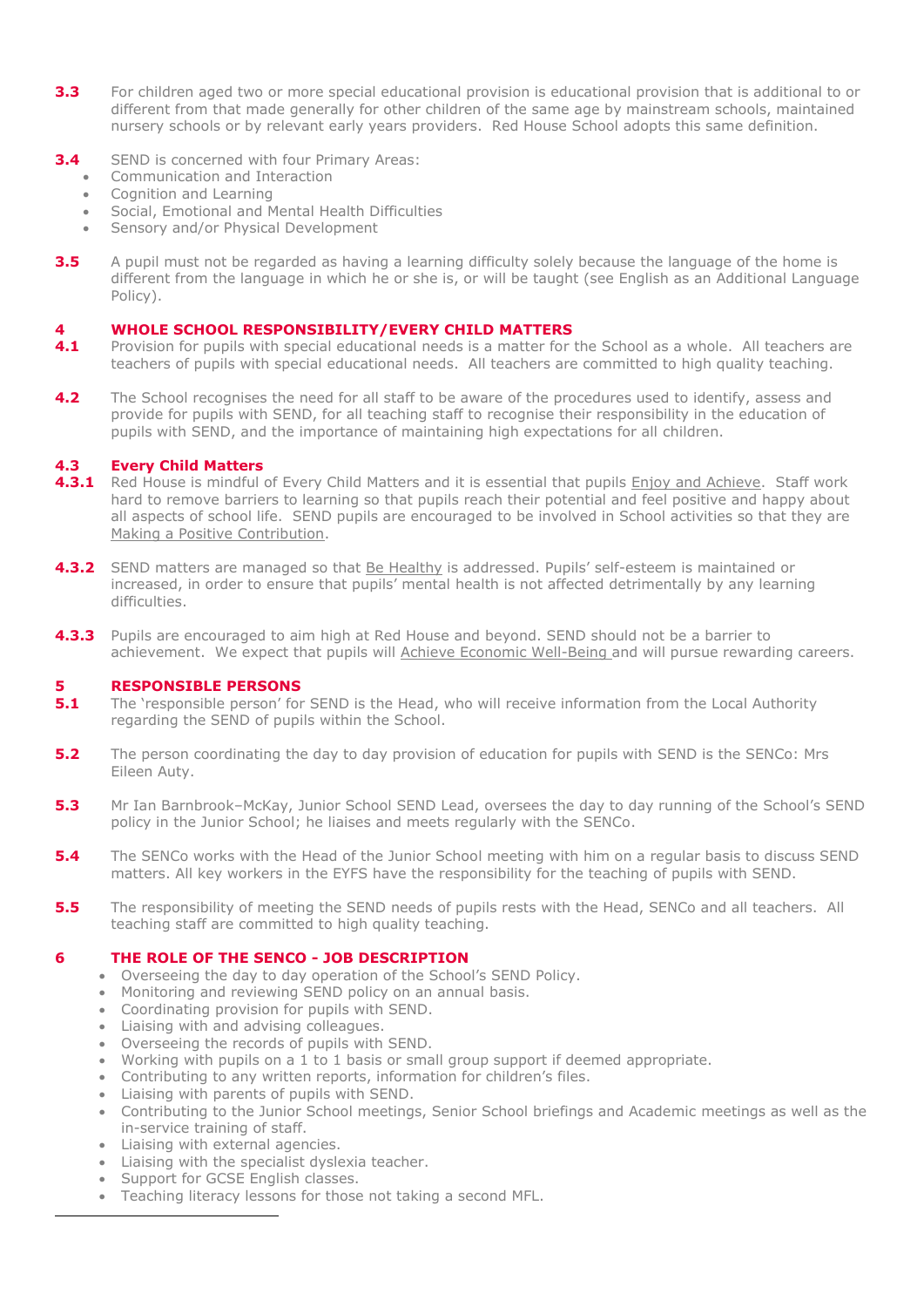- **3.3** For children aged two or more special educational provision is educational provision that is additional to or different from that made generally for other children of the same age by mainstream schools, maintained nursery schools or by relevant early years providers. Red House School adopts this same definition.
- **3.4** SEND is concerned with four Primary Areas:
	- Communication and Interaction
	- Cognition and Learning
	- Social, Emotional and Mental Health Difficulties
	- Sensory and/or Physical Development
- **3.5** A pupil must not be regarded as having a learning difficulty solely because the language of the home is different from the language in which he or she is, or will be taught (see English as an Additional Language Policy).

## **4 WHOLE SCHOOL RESPONSIBILITY/EVERY CHILD MATTERS**

- **4.1** Provision for pupils with special educational needs is a matter for the School as a whole. All teachers are teachers of pupils with special educational needs. All teachers are committed to high quality teaching.
- **4.2** The School recognises the need for all staff to be aware of the procedures used to identify, assess and provide for pupils with SEND, for all teaching staff to recognise their responsibility in the education of pupils with SEND, and the importance of maintaining high expectations for all children.

## **4.3 Every Child Matters**

- **4.3.1** Red House is mindful of Every Child Matters and it is essential that pupils *Enjoy and Achieve.* Staff work hard to remove barriers to learning so that pupils reach their potential and feel positive and happy about all aspects of school life. SEND pupils are encouraged to be involved in School activities so that they are Making a Positive Contribution.
- **4.3.2** SEND matters are managed so that Be Healthy is addressed. Pupils' self-esteem is maintained or increased, in order to ensure that pupils' mental health is not affected detrimentally by any learning difficulties.
- **4.3.3** Pupils are encouraged to aim high at Red House and beyond. SEND should not be a barrier to achievement. We expect that pupils will Achieve Economic Well-Being and will pursue rewarding careers.

## **5 RESPONSIBLE PERSONS**

- **5.1** The 'responsible person' for SEND is the Head, who will receive information from the Local Authority regarding the SEND of pupils within the School.
- **5.2** The person coordinating the day to day provision of education for pupils with SEND is the SENCo: Mrs Eileen Auty.
- **5.3** Mr Ian Barnbrook–McKay, Junior School SEND Lead, oversees the day to day running of the School's SEND policy in the Junior School; he liaises and meets regularly with the SENCo.
- **5.4** The SENCo works with the Head of the Junior School meeting with him on a regular basis to discuss SEND matters. All key workers in the EYFS have the responsibility for the teaching of pupils with SEND.
- **5.5** The responsibility of meeting the SEND needs of pupils rests with the Head, SENCo and all teachers. All teaching staff are committed to high quality teaching.

## **6 THE ROLE OF THE SENCO - JOB DESCRIPTION**

- Overseeing the day to day operation of the School's SEND Policy.
- Monitoring and reviewing SEND policy on an annual basis.
- Coordinating provision for pupils with SEND.
- Liaising with and advising colleagues.
- Overseeing the records of pupils with SEND.
- Working with pupils on a 1 to 1 basis or small group support if deemed appropriate.
- Contributing to any written reports, information for children's files.
- Liaising with parents of pupils with SEND.
- Contributing to the Junior School meetings, Senior School briefings and Academic meetings as well as the in-service training of staff.
- Liaising with external agencies.

 $\overline{a}$ 

- Liaising with the specialist dyslexia teacher.
- Support for GCSE English classes.
- Teaching literacy lessons for those not taking a second MFL.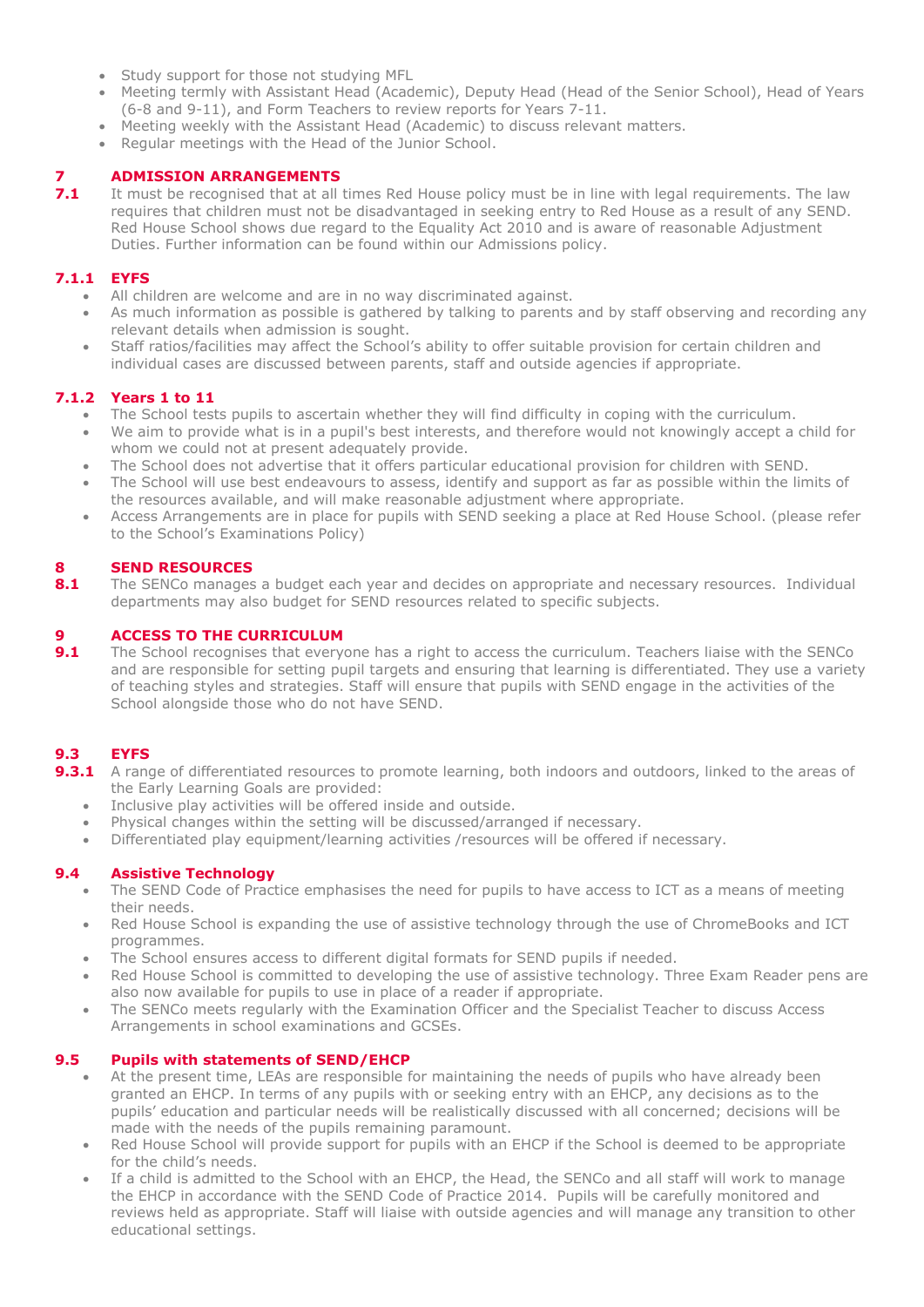- Study support for those not studying MFL
- Meeting termly with Assistant Head (Academic), Deputy Head (Head of the Senior School), Head of Years (6-8 and 9-11), and Form Teachers to review reports for Years 7-11.
- Meeting weekly with the Assistant Head (Academic) to discuss relevant matters.
- Regular meetings with the Head of the Junior School.

# **7 ADMISSION ARRANGEMENTS**<br>**7.1** It must be recognised that at all

It must be recognised that at all times Red House policy must be in line with legal requirements. The law requires that children must not be disadvantaged in seeking entry to Red House as a result of any SEND. Red House School shows due regard to the Equality Act 2010 and is aware of reasonable Adjustment Duties. Further information can be found within our Admissions policy.

## **7.1.1 EYFS**

- All children are welcome and are in no way discriminated against.
- As much information as possible is gathered by talking to parents and by staff observing and recording any relevant details when admission is sought.
- Staff ratios/facilities may affect the School's ability to offer suitable provision for certain children and individual cases are discussed between parents, staff and outside agencies if appropriate.

# **7.1.2 Years 1 to 11**

- The School tests pupils to ascertain whether they will find difficulty in coping with the curriculum.
- We aim to provide what is in a pupil's best interests, and therefore would not knowingly accept a child for whom we could not at present adequately provide.
- The School does not advertise that it offers particular educational provision for children with SEND.
- The School will use best endeavours to assess, identify and support as far as possible within the limits of the resources available, and will make reasonable adjustment where appropriate.
- Access Arrangements are in place for pupils with SEND seeking a place at Red House School. (please refer to the School's Examinations Policy)

# **8 SEND RESOURCES**

8.1 The SENCo manages a budget each year and decides on appropriate and necessary resources. Individual departments may also budget for SEND resources related to specific subjects.

# **9 ACCESS TO THE CURRICULUM**

**9.1** The School recognises that everyone has a right to access the curriculum. Teachers liaise with the SENCo and are responsible for setting pupil targets and ensuring that learning is differentiated. They use a variety of teaching styles and strategies. Staff will ensure that pupils with SEND engage in the activities of the School alongside those who do not have SEND.

# **9.3 EYFS**

- **9.3.1** A range of differentiated resources to promote learning, both indoors and outdoors, linked to the areas of the Early Learning Goals are provided:
	- Inclusive play activities will be offered inside and outside.
	- Physical changes within the setting will be discussed/arranged if necessary.
	- Differentiated play equipment/learning activities /resources will be offered if necessary.

## **9.4 Assistive Technology**

- The SEND Code of Practice emphasises the need for pupils to have access to ICT as a means of meeting their needs.
- Red House School is expanding the use of assistive technology through the use of ChromeBooks and ICT programmes.
- The School ensures access to different digital formats for SEND pupils if needed.
- Red House School is committed to developing the use of assistive technology. Three Exam Reader pens are also now available for pupils to use in place of a reader if appropriate.
- The SENCo meets regularly with the Examination Officer and the Specialist Teacher to discuss Access Arrangements in school examinations and GCSEs.

## **9.5 Pupils with statements of SEND/EHCP**

- At the present time, LEAs are responsible for maintaining the needs of pupils who have already been granted an EHCP. In terms of any pupils with or seeking entry with an EHCP, any decisions as to the pupils' education and particular needs will be realistically discussed with all concerned; decisions will be made with the needs of the pupils remaining paramount.
- Red House School will provide support for pupils with an EHCP if the School is deemed to be appropriate for the child's needs.
- If a child is admitted to the School with an EHCP, the Head, the SENCo and all staff will work to manage the EHCP in accordance with the SEND Code of Practice 2014. Pupils will be carefully monitored and reviews held as appropriate. Staff will liaise with outside agencies and will manage any transition to other educational settings.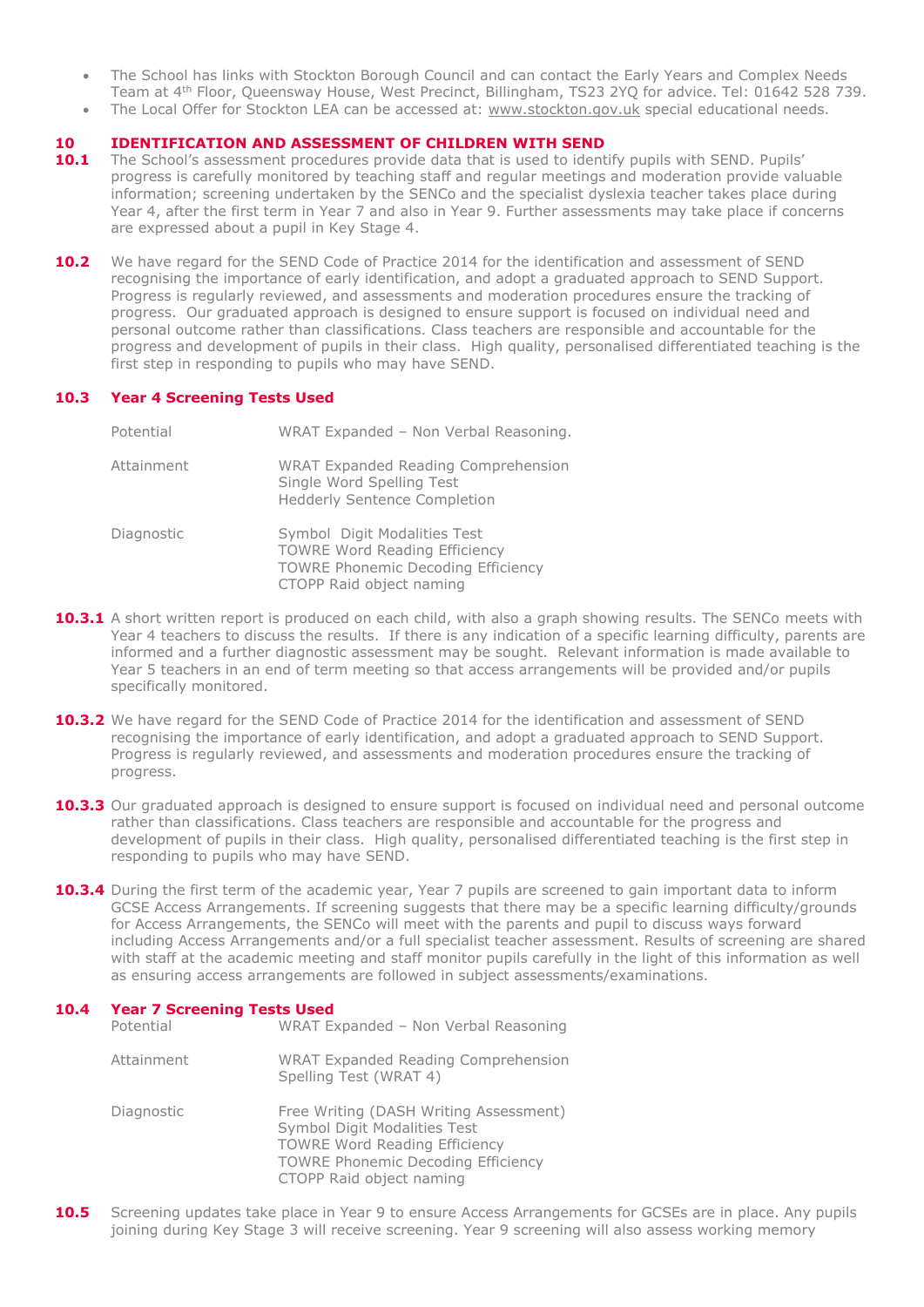- The School has links with Stockton Borough Council and can contact the Early Years and Complex Needs Team at 4th Floor, Queensway House, West Precinct, Billingham, TS23 2YQ for advice. Tel: 01642 528 739.
- The Local Offer for Stockton LEA can be accessed at: [www.stockton.gov.uk](http://www.stockton.gov.uk/) special educational needs.

## **10 IDENTIFICATION AND ASSESSMENT OF CHILDREN WITH SEND**

- 10.1 The School's assessment procedures provide data that is used to identify pupils with SEND. Pupils' progress is carefully monitored by teaching staff and regular meetings and moderation provide valuable information; screening undertaken by the SENCo and the specialist dyslexia teacher takes place during Year 4, after the first term in Year 7 and also in Year 9. Further assessments may take place if concerns are expressed about a pupil in Key Stage 4.
- **10.2** We have regard for the SEND Code of Practice 2014 for the identification and assessment of SEND recognising the importance of early identification, and adopt a graduated approach to SEND Support. Progress is regularly reviewed, and assessments and moderation procedures ensure the tracking of progress. Our graduated approach is designed to ensure support is focused on individual need and personal outcome rather than classifications. Class teachers are responsible and accountable for the progress and development of pupils in their class. High quality, personalised differentiated teaching is the first step in responding to pupils who may have SEND.

## **10.3 Year 4 Screening Tests Used**

| Potential  | WRAT Expanded - Non Verbal Reasoning.                                                                                                         |  |
|------------|-----------------------------------------------------------------------------------------------------------------------------------------------|--|
| Attainment | <b>WRAT Expanded Reading Comprehension</b><br>Single Word Spelling Test<br><b>Hedderly Sentence Completion</b>                                |  |
| Diagnostic | Symbol Digit Modalities Test<br><b>TOWRE Word Reading Efficiency</b><br><b>TOWRE Phonemic Decoding Efficiency</b><br>CTOPP Raid object naming |  |

- **10.3.1** A short written report is produced on each child, with also a graph showing results. The SENCo meets with Year 4 teachers to discuss the results. If there is any indication of a specific learning difficulty, parents are informed and a further diagnostic assessment may be sought. Relevant information is made available to Year 5 teachers in an end of term meeting so that access arrangements will be provided and/or pupils specifically monitored.
- **10.3.2** We have regard for the SEND Code of Practice 2014 for the identification and assessment of SEND recognising the importance of early identification, and adopt a graduated approach to SEND Support. Progress is regularly reviewed, and assessments and moderation procedures ensure the tracking of progress.
- **10.3.3** Our graduated approach is designed to ensure support is focused on individual need and personal outcome rather than classifications. Class teachers are responsible and accountable for the progress and development of pupils in their class. High quality, personalised differentiated teaching is the first step in responding to pupils who may have SEND.
- **10.3.4** During the first term of the academic year, Year 7 pupils are screened to gain important data to inform GCSE Access Arrangements. If screening suggests that there may be a specific learning difficulty/grounds for Access Arrangements, the SENCo will meet with the parents and pupil to discuss ways forward including Access Arrangements and/or a full specialist teacher assessment. Results of screening are shared with staff at the academic meeting and staff monitor pupils carefully in the light of this information as well as ensuring access arrangements are followed in subject assessments/examinations.

## **10.4 Year 7 Screening Tests Used**

| Potential  | WRAT Expanded - Non Verbal Reasoning                                                                                                                                                    |
|------------|-----------------------------------------------------------------------------------------------------------------------------------------------------------------------------------------|
| Attainment | <b>WRAT Expanded Reading Comprehension</b><br>Spelling Test (WRAT 4)                                                                                                                    |
| Diagnostic | Free Writing (DASH Writing Assessment)<br>Symbol Digit Modalities Test<br><b>TOWRE Word Reading Efficiency</b><br><b>TOWRE Phonemic Decoding Efficiency</b><br>CTOPP Raid object naming |

**10.5** Screening updates take place in Year 9 to ensure Access Arrangements for GCSEs are in place. Any pupils joining during Key Stage 3 will receive screening. Year 9 screening will also assess working memory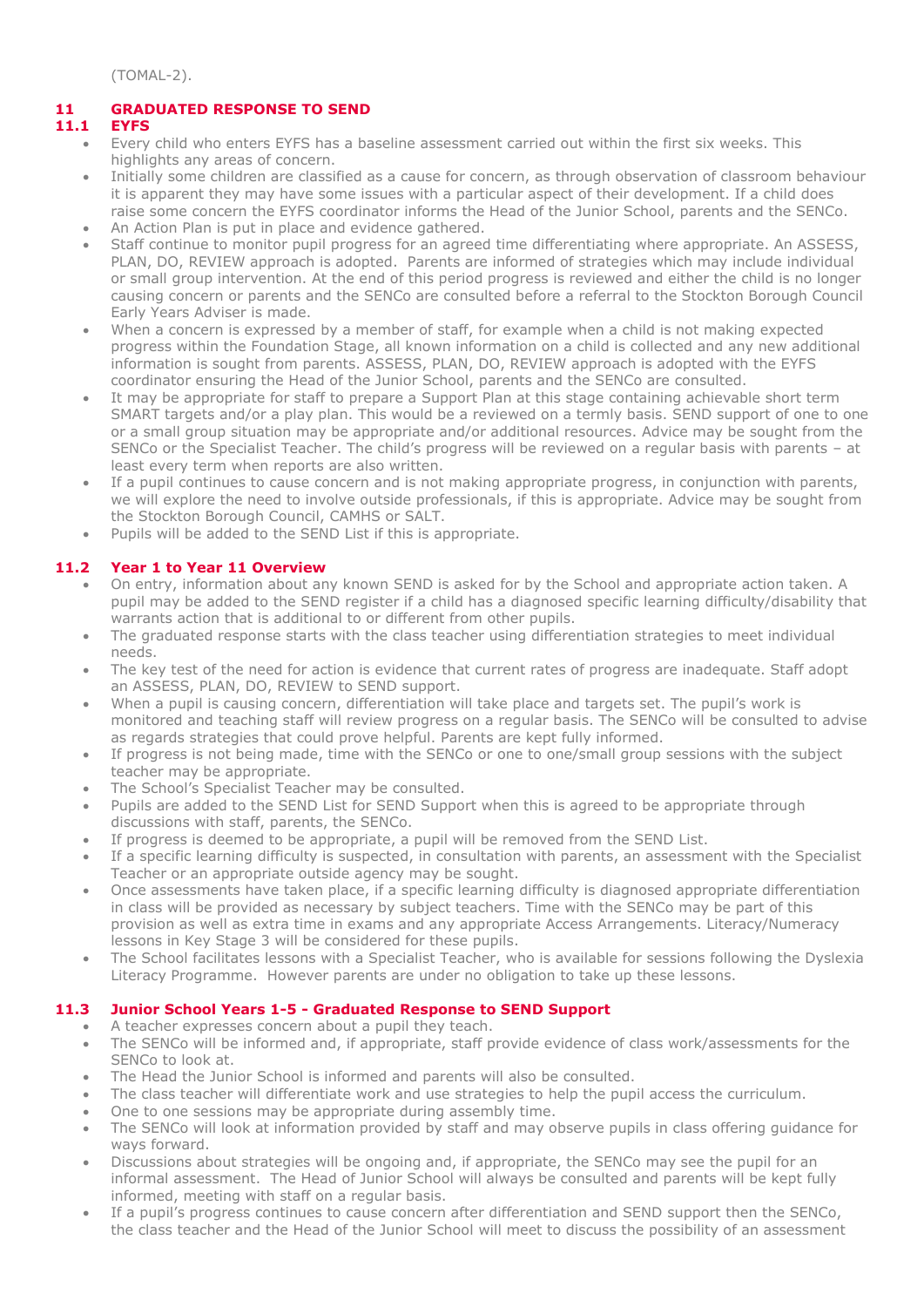(TOMAL-2).

# **11 GRADUATED RESPONSE TO SEND**

# **11.1 EYFS**

- Every child who enters EYFS has a baseline assessment carried out within the first six weeks. This highlights any areas of concern.
- Initially some children are classified as a cause for concern, as through observation of classroom behaviour it is apparent they may have some issues with a particular aspect of their development. If a child does raise some concern the EYFS coordinator informs the Head of the Junior School, parents and the SENCo.
- An Action Plan is put in place and evidence gathered.
- Staff continue to monitor pupil progress for an agreed time differentiating where appropriate. An ASSESS, PLAN, DO, REVIEW approach is adopted. Parents are informed of strategies which may include individual or small group intervention. At the end of this period progress is reviewed and either the child is no longer causing concern or parents and the SENCo are consulted before a referral to the Stockton Borough Council Early Years Adviser is made.
- When a concern is expressed by a member of staff, for example when a child is not making expected progress within the Foundation Stage, all known information on a child is collected and any new additional information is sought from parents. ASSESS, PLAN, DO, REVIEW approach is adopted with the EYFS coordinator ensuring the Head of the Junior School, parents and the SENCo are consulted.
- It may be appropriate for staff to prepare a Support Plan at this stage containing achievable short term SMART targets and/or a play plan. This would be a reviewed on a termly basis. SEND support of one to one or a small group situation may be appropriate and/or additional resources. Advice may be sought from the SENCo or the Specialist Teacher. The child's progress will be reviewed on a regular basis with parents – at least every term when reports are also written.
- If a pupil continues to cause concern and is not making appropriate progress, in conjunction with parents, we will explore the need to involve outside professionals, if this is appropriate. Advice may be sought from the Stockton Borough Council, CAMHS or SALT.
- Pupils will be added to the SEND List if this is appropriate.

# **11.2 Year 1 to Year 11 Overview**

- On entry, information about any known SEND is asked for by the School and appropriate action taken. A pupil may be added to the SEND register if a child has a diagnosed specific learning difficulty/disability that warrants action that is additional to or different from other pupils.
- The graduated response starts with the class teacher using differentiation strategies to meet individual needs.
- The key test of the need for action is evidence that current rates of progress are inadequate. Staff adopt an ASSESS, PLAN, DO, REVIEW to SEND support.
- When a pupil is causing concern, differentiation will take place and targets set. The pupil's work is monitored and teaching staff will review progress on a regular basis. The SENCo will be consulted to advise as regards strategies that could prove helpful. Parents are kept fully informed.
- If progress is not being made, time with the SENCo or one to one/small group sessions with the subject teacher may be appropriate.
- The School's Specialist Teacher may be consulted.
- Pupils are added to the SEND List for SEND Support when this is agreed to be appropriate through discussions with staff, parents, the SENCo.
- If progress is deemed to be appropriate, a pupil will be removed from the SEND List.
- If a specific learning difficulty is suspected, in consultation with parents, an assessment with the Specialist Teacher or an appropriate outside agency may be sought.
- Once assessments have taken place, if a specific learning difficulty is diagnosed appropriate differentiation in class will be provided as necessary by subject teachers. Time with the SENCo may be part of this provision as well as extra time in exams and any appropriate Access Arrangements. Literacy/Numeracy lessons in Key Stage 3 will be considered for these pupils.
- The School facilitates lessons with a Specialist Teacher, who is available for sessions following the Dyslexia Literacy Programme. However parents are under no obligation to take up these lessons.

# **11.3 Junior School Years 1-5 - Graduated Response to SEND Support**

- A teacher expresses concern about a pupil they teach.
- The SENCo will be informed and, if appropriate, staff provide evidence of class work/assessments for the SENCo to look at.
- The Head the Junior School is informed and parents will also be consulted.
- The class teacher will differentiate work and use strategies to help the pupil access the curriculum.
- One to one sessions may be appropriate during assembly time.
- The SENCo will look at information provided by staff and may observe pupils in class offering guidance for ways forward.
- Discussions about strategies will be ongoing and, if appropriate, the SENCo may see the pupil for an informal assessment. The Head of Junior School will always be consulted and parents will be kept fully informed, meeting with staff on a regular basis.
- If a pupil's progress continues to cause concern after differentiation and SEND support then the SENCo, the class teacher and the Head of the Junior School will meet to discuss the possibility of an assessment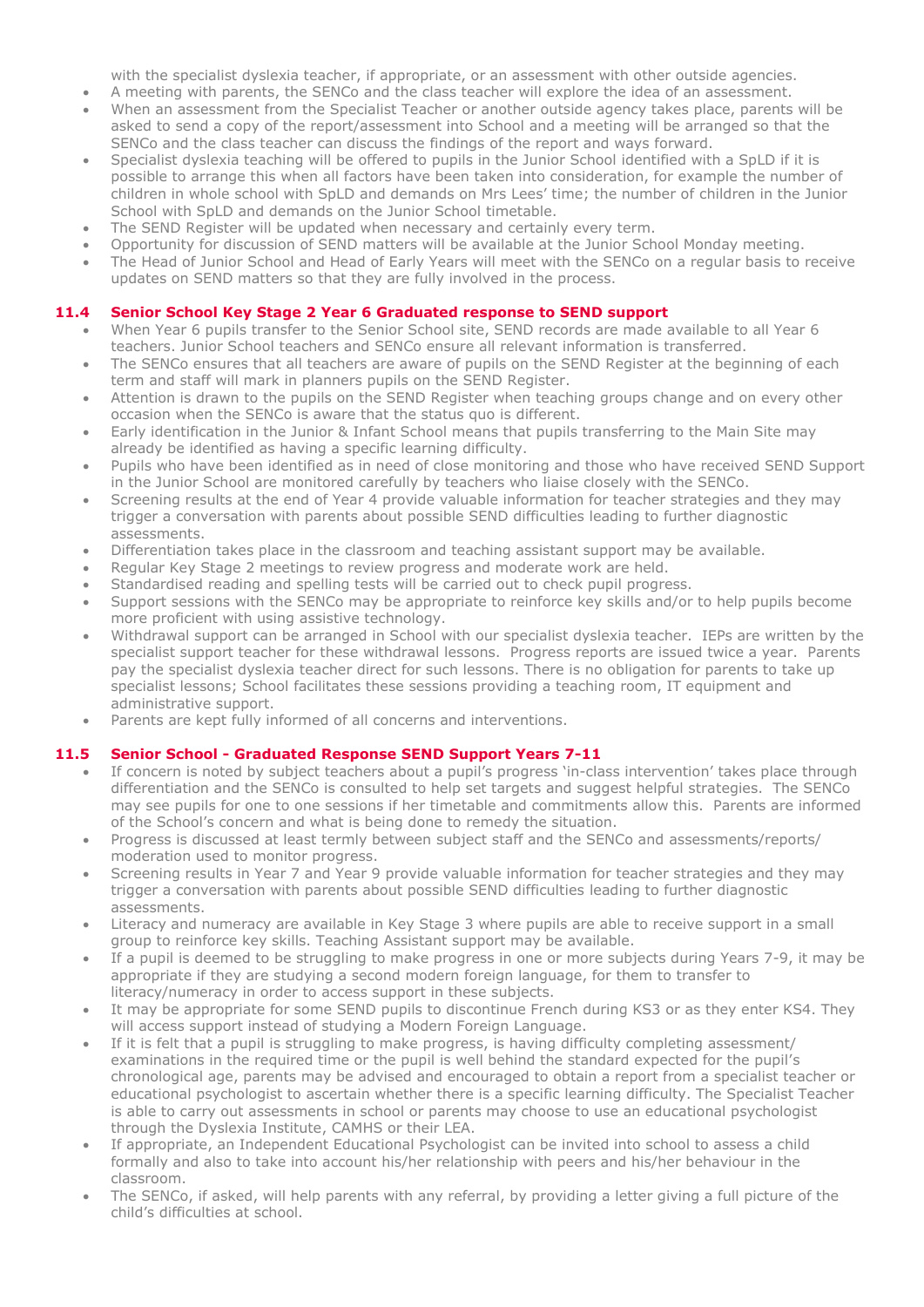with the specialist dyslexia teacher, if appropriate, or an assessment with other outside agencies.

- A meeting with parents, the SENCo and the class teacher will explore the idea of an assessment.
- When an assessment from the Specialist Teacher or another outside agency takes place, parents will be asked to send a copy of the report/assessment into School and a meeting will be arranged so that the SENCo and the class teacher can discuss the findings of the report and ways forward.
- Specialist dyslexia teaching will be offered to pupils in the Junior School identified with a SpLD if it is possible to arrange this when all factors have been taken into consideration, for example the number of children in whole school with SpLD and demands on Mrs Lees' time; the number of children in the Junior School with SpLD and demands on the Junior School timetable.
- The SEND Register will be updated when necessary and certainly every term.
- Opportunity for discussion of SEND matters will be available at the Junior School Monday meeting.
- The Head of Junior School and Head of Early Years will meet with the SENCo on a regular basis to receive updates on SEND matters so that they are fully involved in the process.

# **11.4 Senior School Key Stage 2 Year 6 Graduated response to SEND support**

- When Year 6 pupils transfer to the Senior School site, SEND records are made available to all Year 6 teachers. Junior School teachers and SENCo ensure all relevant information is transferred.
- The SENCo ensures that all teachers are aware of pupils on the SEND Register at the beginning of each term and staff will mark in planners pupils on the SEND Register.
- Attention is drawn to the pupils on the SEND Register when teaching groups change and on every other occasion when the SENCo is aware that the status quo is different.
- Early identification in the Junior & Infant School means that pupils transferring to the Main Site may already be identified as having a specific learning difficulty.
- Pupils who have been identified as in need of close monitoring and those who have received SEND Support in the Junior School are monitored carefully by teachers who liaise closely with the SENCo.
- Screening results at the end of Year 4 provide valuable information for teacher strategies and they may trigger a conversation with parents about possible SEND difficulties leading to further diagnostic assessments.
- Differentiation takes place in the classroom and teaching assistant support may be available.
- Regular Key Stage 2 meetings to review progress and moderate work are held.
- Standardised reading and spelling tests will be carried out to check pupil progress.
- Support sessions with the SENCo may be appropriate to reinforce key skills and/or to help pupils become more proficient with using assistive technology.
- Withdrawal support can be arranged in School with our specialist dyslexia teacher. IEPs are written by the specialist support teacher for these withdrawal lessons. Progress reports are issued twice a year. Parents pay the specialist dyslexia teacher direct for such lessons. There is no obligation for parents to take up specialist lessons; School facilitates these sessions providing a teaching room, IT equipment and administrative support.
- Parents are kept fully informed of all concerns and interventions.

# **11.5 Senior School - Graduated Response SEND Support Years 7-11**

- If concern is noted by subject teachers about a pupil's progress 'in-class intervention' takes place through differentiation and the SENCo is consulted to help set targets and suggest helpful strategies. The SENCo may see pupils for one to one sessions if her timetable and commitments allow this. Parents are informed of the School's concern and what is being done to remedy the situation.
- Progress is discussed at least termly between subject staff and the SENCo and assessments/reports/ moderation used to monitor progress.
- Screening results in Year 7 and Year 9 provide valuable information for teacher strategies and they may trigger a conversation with parents about possible SEND difficulties leading to further diagnostic assessments.
- Literacy and numeracy are available in Key Stage 3 where pupils are able to receive support in a small group to reinforce key skills. Teaching Assistant support may be available.
- If a pupil is deemed to be struggling to make progress in one or more subjects during Years 7-9, it may be appropriate if they are studying a second modern foreign language, for them to transfer to literacy/numeracy in order to access support in these subjects.
- It may be appropriate for some SEND pupils to discontinue French during KS3 or as they enter KS4. They will access support instead of studying a Modern Foreign Language.
- If it is felt that a pupil is struggling to make progress, is having difficulty completing assessment/ examinations in the required time or the pupil is well behind the standard expected for the pupil's chronological age, parents may be advised and encouraged to obtain a report from a specialist teacher or educational psychologist to ascertain whether there is a specific learning difficulty. The Specialist Teacher is able to carry out assessments in school or parents may choose to use an educational psychologist through the Dyslexia Institute, CAMHS or their LEA.
- If appropriate, an Independent Educational Psychologist can be invited into school to assess a child formally and also to take into account his/her relationship with peers and his/her behaviour in the classroom.
- The SENCo, if asked, will help parents with any referral, by providing a letter giving a full picture of the child's difficulties at school.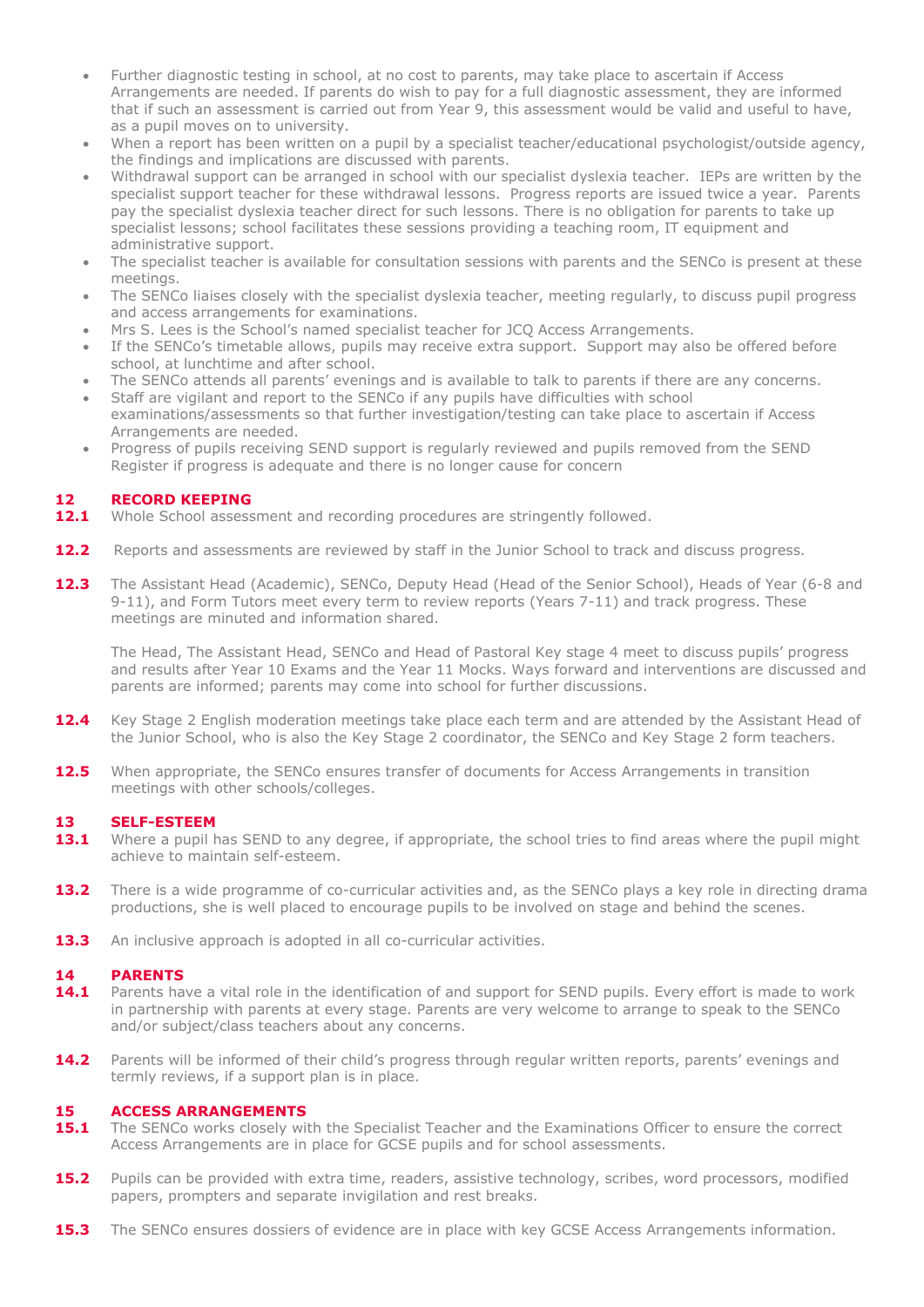- Further diagnostic testing in school, at no cost to parents, may take place to ascertain if Access Arrangements are needed. If parents do wish to pay for a full diagnostic assessment, they are informed that if such an assessment is carried out from Year 9, this assessment would be valid and useful to have, as a pupil moves on to university.
- When a report has been written on a pupil by a specialist teacher/educational psychologist/outside agency, the findings and implications are discussed with parents.
- Withdrawal support can be arranged in school with our specialist dyslexia teacher. IEPs are written by the specialist support teacher for these withdrawal lessons. Progress reports are issued twice a year. Parents pay the specialist dyslexia teacher direct for such lessons. There is no obligation for parents to take up specialist lessons; school facilitates these sessions providing a teaching room, IT equipment and administrative support.
- The specialist teacher is available for consultation sessions with parents and the SENCo is present at these meetings.
- The SENCo liaises closely with the specialist dyslexia teacher, meeting regularly, to discuss pupil progress and access arrangements for examinations.
- Mrs S. Lees is the School's named specialist teacher for JCQ Access Arrangements.
- If the SENCo's timetable allows, pupils may receive extra support. Support may also be offered before school, at lunchtime and after school.
- The SENCo attends all parents' evenings and is available to talk to parents if there are any concerns.
- Staff are vigilant and report to the SENCo if any pupils have difficulties with school examinations/assessments so that further investigation/testing can take place to ascertain if Access Arrangements are needed.
- Progress of pupils receiving SEND support is regularly reviewed and pupils removed from the SEND Register if progress is adequate and there is no longer cause for concern

## **12 RECORD KEEPING**

- **12.1** Whole School assessment and recording procedures are stringently followed.
- **12.2** Reports and assessments are reviewed by staff in the Junior School to track and discuss progress.
- 12.3 The Assistant Head (Academic), SENCo, Deputy Head (Head of the Senior School), Heads of Year (6-8 and 9-11), and Form Tutors meet every term to review reports (Years 7-11) and track progress. These meetings are minuted and information shared.

The Head, The Assistant Head, SENCo and Head of Pastoral Key stage 4 meet to discuss pupils' progress and results after Year 10 Exams and the Year 11 Mocks. Ways forward and interventions are discussed and parents are informed; parents may come into school for further discussions.

- 12.4 Key Stage 2 English moderation meetings take place each term and are attended by the Assistant Head of the Junior School, who is also the Key Stage 2 coordinator, the SENCo and Key Stage 2 form teachers.
- **12.5** When appropriate, the SENCo ensures transfer of documents for Access Arrangements in transition meetings with other schools/colleges.

# **13.1 SELF-ESTEEM**<br>**13.1** Where a pupil **f**

- **13.1** Where a pupil has SEND to any degree, if appropriate, the school tries to find areas where the pupil might achieve to maintain self-esteem.
- **13.2** There is a wide programme of co-curricular activities and, as the SENCo plays a key role in directing drama productions, she is well placed to encourage pupils to be involved on stage and behind the scenes.
- **13.3** An inclusive approach is adopted in all co-curricular activities.

## **14 PARENTS**

- 14.1 Parents have a vital role in the identification of and support for SEND pupils. Every effort is made to work in partnership with parents at every stage. Parents are very welcome to arrange to speak to the SENCo and/or subject/class teachers about any concerns.
- 14.2 Parents will be informed of their child's progress through regular written reports, parents' evenings and termly reviews, if a support plan is in place.

#### **15 ACCESS ARRANGEMENTS**

- **15.1** The SENCo works closely with the Specialist Teacher and the Examinations Officer to ensure the correct Access Arrangements are in place for GCSE pupils and for school assessments.
- **15.2** Pupils can be provided with extra time, readers, assistive technology, scribes, word processors, modified papers, prompters and separate invigilation and rest breaks.
- **15.3** The SENCo ensures dossiers of evidence are in place with key GCSE Access Arrangements information.